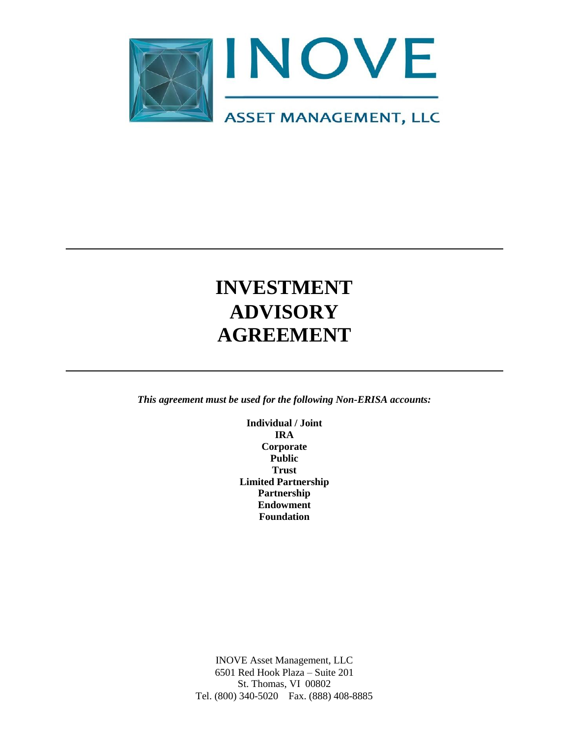

# **INVESTMENT ADVISORY AGREEMENT**

*This agreement must be used for the following Non-ERISA accounts:*

**Individual / Joint IRA Corporate Public Trust Limited Partnership Partnership Endowment Foundation**

INOVE Asset Management, LLC 6501 Red Hook Plaza – Suite 201 St. Thomas, VI 00802 Tel. (800) 340-5020 Fax. (888) 408-8885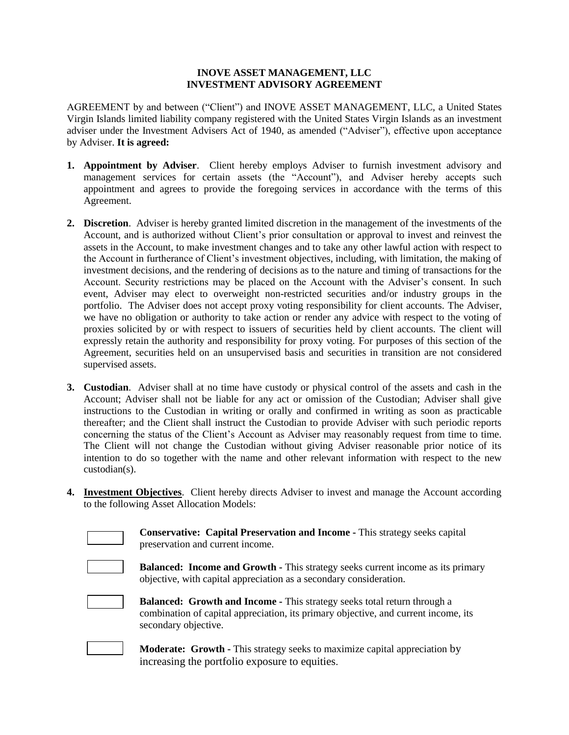#### **INOVE ASSET MANAGEMENT, LLC INVESTMENT ADVISORY AGREEMENT**

AGREEMENT by and between ("Client") and INOVE ASSET MANAGEMENT, LLC, a United States Virgin Islands limited liability company registered with the United States Virgin Islands as an investment adviser under the Investment Advisers Act of 1940, as amended ("Adviser"), effective upon acceptance by Adviser. **It is agreed:**

- **1. Appointment by Adviser**. Client hereby employs Adviser to furnish investment advisory and management services for certain assets (the "Account"), and Adviser hereby accepts such appointment and agrees to provide the foregoing services in accordance with the terms of this Agreement.
- **2. Discretion**. Adviser is hereby granted limited discretion in the management of the investments of the Account, and is authorized without Client's prior consultation or approval to invest and reinvest the assets in the Account, to make investment changes and to take any other lawful action with respect to the Account in furtherance of Client's investment objectives, including, with limitation, the making of investment decisions, and the rendering of decisions as to the nature and timing of transactions for the Account. Security restrictions may be placed on the Account with the Adviser's consent. In such event, Adviser may elect to overweight non-restricted securities and/or industry groups in the portfolio. The Adviser does not accept proxy voting responsibility for client accounts. The Adviser, we have no obligation or authority to take action or render any advice with respect to the voting of proxies solicited by or with respect to issuers of securities held by client accounts. The client will expressly retain the authority and responsibility for proxy voting. For purposes of this section of the Agreement, securities held on an unsupervised basis and securities in transition are not considered supervised assets.
- **3. Custodian**. Adviser shall at no time have custody or physical control of the assets and cash in the Account; Adviser shall not be liable for any act or omission of the Custodian; Adviser shall give instructions to the Custodian in writing or orally and confirmed in writing as soon as practicable thereafter; and the Client shall instruct the Custodian to provide Adviser with such periodic reports concerning the status of the Client's Account as Adviser may reasonably request from time to time. The Client will not change the Custodian without giving Adviser reasonable prior notice of its intention to do so together with the name and other relevant information with respect to the new custodian(s).
- **4. Investment Objectives**. Client hereby directs Adviser to invest and manage the Account according to the following Asset Allocation Models:

**Conservative: Capital Preservation and Income -** This strategy seeks capital preservation and current income.

**Balanced: Income and Growth -** This strategy seeks current income as its primary

objective, with capital appreciation as a secondary consideration.

| <b>Balanced: Growth and Income - This strategy seeks total return through a</b>     |
|-------------------------------------------------------------------------------------|
| combination of capital appreciation, its primary objective, and current income, its |
| secondary objective.                                                                |

**Moderate: Growth -** This strategy seeks to maximize capital appreciation by increasing the portfolio exposure to equities.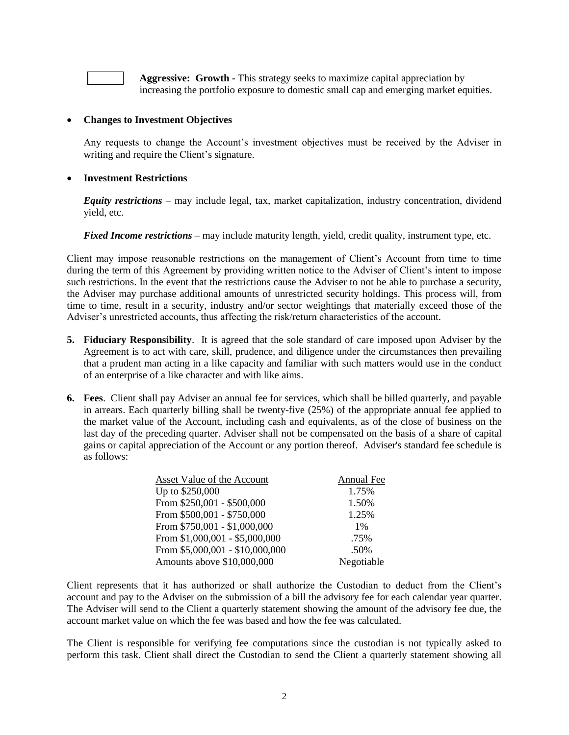**Aggressive: Growth -** This strategy seeks to maximize capital appreciation by increasing the portfolio exposure to domestic small cap and emerging market equities.

#### **Changes to Investment Objectives**

Any requests to change the Account's investment objectives must be received by the Adviser in writing and require the Client's signature.

#### **Investment Restrictions**

*Equity restrictions* – may include legal, tax, market capitalization, industry concentration, dividend yield, etc.

*Fixed Income restrictions* – may include maturity length, yield, credit quality, instrument type, etc.

Client may impose reasonable restrictions on the management of Client's Account from time to time during the term of this Agreement by providing written notice to the Adviser of Client's intent to impose such restrictions. In the event that the restrictions cause the Adviser to not be able to purchase a security, the Adviser may purchase additional amounts of unrestricted security holdings. This process will, from time to time, result in a security, industry and/or sector weightings that materially exceed those of the Adviser's unrestricted accounts, thus affecting the risk/return characteristics of the account.

- **5. Fiduciary Responsibility**. It is agreed that the sole standard of care imposed upon Adviser by the Agreement is to act with care, skill, prudence, and diligence under the circumstances then prevailing that a prudent man acting in a like capacity and familiar with such matters would use in the conduct of an enterprise of a like character and with like aims.
- **6. Fees**. Client shall pay Adviser an annual fee for services, which shall be billed quarterly, and payable in arrears. Each quarterly billing shall be twenty-five (25%) of the appropriate annual fee applied to the market value of the Account, including cash and equivalents, as of the close of business on the last day of the preceding quarter. Adviser shall not be compensated on the basis of a share of capital gains or capital appreciation of the Account or any portion thereof. Adviser's standard fee schedule is as follows:

| Asset Value of the Account      | Annual Fee |
|---------------------------------|------------|
| Up to \$250,000                 | 1.75%      |
| From \$250,001 - \$500,000      | 1.50%      |
| From \$500,001 - \$750,000      | 1.25%      |
| From \$750,001 - \$1,000,000    | $1\%$      |
| From \$1,000,001 - \$5,000,000  | .75%       |
| From \$5,000,001 - \$10,000,000 | .50%       |
| Amounts above \$10,000,000      | Negotiable |

Client represents that it has authorized or shall authorize the Custodian to deduct from the Client's account and pay to the Adviser on the submission of a bill the advisory fee for each calendar year quarter. The Adviser will send to the Client a quarterly statement showing the amount of the advisory fee due, the account market value on which the fee was based and how the fee was calculated.

The Client is responsible for verifying fee computations since the custodian is not typically asked to perform this task. Client shall direct the Custodian to send the Client a quarterly statement showing all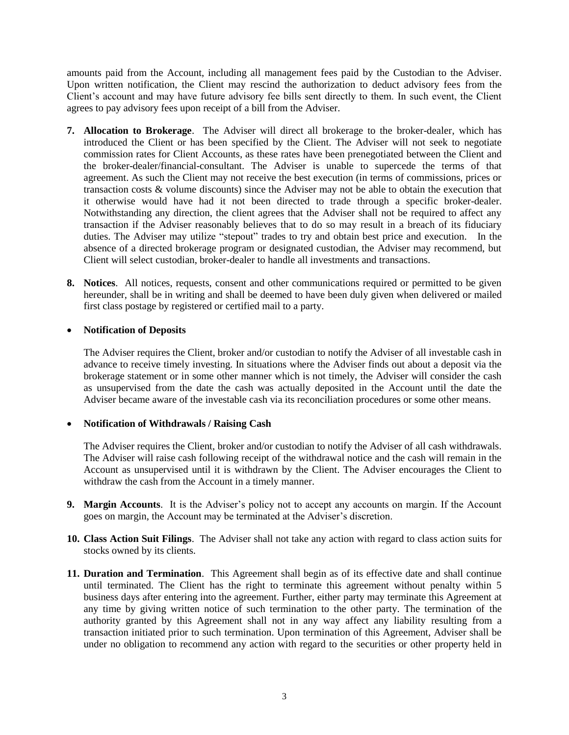amounts paid from the Account, including all management fees paid by the Custodian to the Adviser. Upon written notification, the Client may rescind the authorization to deduct advisory fees from the Client's account and may have future advisory fee bills sent directly to them. In such event, the Client agrees to pay advisory fees upon receipt of a bill from the Adviser.

- **7. Allocation to Brokerage**. The Adviser will direct all brokerage to the broker-dealer, which has introduced the Client or has been specified by the Client. The Adviser will not seek to negotiate commission rates for Client Accounts, as these rates have been prenegotiated between the Client and the broker-dealer/financial-consultant. The Adviser is unable to supercede the terms of that agreement. As such the Client may not receive the best execution (in terms of commissions, prices or transaction costs & volume discounts) since the Adviser may not be able to obtain the execution that it otherwise would have had it not been directed to trade through a specific broker-dealer. Notwithstanding any direction, the client agrees that the Adviser shall not be required to affect any transaction if the Adviser reasonably believes that to do so may result in a breach of its fiduciary duties. The Adviser may utilize "stepout" trades to try and obtain best price and execution. In the absence of a directed brokerage program or designated custodian, the Adviser may recommend, but Client will select custodian, broker-dealer to handle all investments and transactions.
- **8. Notices**. All notices, requests, consent and other communications required or permitted to be given hereunder, shall be in writing and shall be deemed to have been duly given when delivered or mailed first class postage by registered or certified mail to a party.

### **Notification of Deposits**

The Adviser requires the Client, broker and/or custodian to notify the Adviser of all investable cash in advance to receive timely investing. In situations where the Adviser finds out about a deposit via the brokerage statement or in some other manner which is not timely, the Adviser will consider the cash as unsupervised from the date the cash was actually deposited in the Account until the date the Adviser became aware of the investable cash via its reconciliation procedures or some other means.

#### **Notification of Withdrawals / Raising Cash**

The Adviser requires the Client, broker and/or custodian to notify the Adviser of all cash withdrawals. The Adviser will raise cash following receipt of the withdrawal notice and the cash will remain in the Account as unsupervised until it is withdrawn by the Client. The Adviser encourages the Client to withdraw the cash from the Account in a timely manner.

- **9. Margin Accounts**. It is the Adviser's policy not to accept any accounts on margin. If the Account goes on margin, the Account may be terminated at the Adviser's discretion.
- **10. Class Action Suit Filings**. The Adviser shall not take any action with regard to class action suits for stocks owned by its clients.
- **11. Duration and Termination**. This Agreement shall begin as of its effective date and shall continue until terminated. The Client has the right to terminate this agreement without penalty within 5 business days after entering into the agreement. Further, either party may terminate this Agreement at any time by giving written notice of such termination to the other party. The termination of the authority granted by this Agreement shall not in any way affect any liability resulting from a transaction initiated prior to such termination. Upon termination of this Agreement, Adviser shall be under no obligation to recommend any action with regard to the securities or other property held in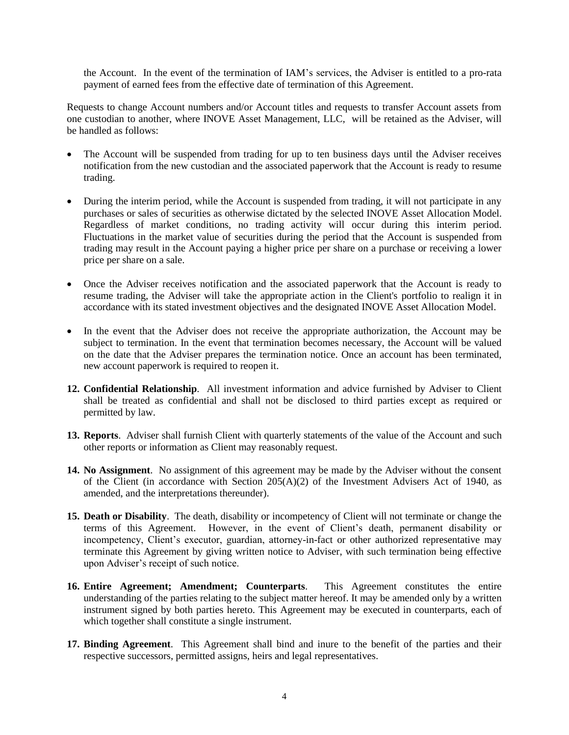the Account. In the event of the termination of IAM's services, the Adviser is entitled to a pro-rata payment of earned fees from the effective date of termination of this Agreement.

Requests to change Account numbers and/or Account titles and requests to transfer Account assets from one custodian to another, where INOVE Asset Management, LLC, will be retained as the Adviser, will be handled as follows:

- The Account will be suspended from trading for up to ten business days until the Adviser receives notification from the new custodian and the associated paperwork that the Account is ready to resume trading.
- During the interim period, while the Account is suspended from trading, it will not participate in any purchases or sales of securities as otherwise dictated by the selected INOVE Asset Allocation Model. Regardless of market conditions, no trading activity will occur during this interim period. Fluctuations in the market value of securities during the period that the Account is suspended from trading may result in the Account paying a higher price per share on a purchase or receiving a lower price per share on a sale.
- Once the Adviser receives notification and the associated paperwork that the Account is ready to resume trading, the Adviser will take the appropriate action in the Client's portfolio to realign it in accordance with its stated investment objectives and the designated INOVE Asset Allocation Model.
- In the event that the Adviser does not receive the appropriate authorization, the Account may be subject to termination. In the event that termination becomes necessary, the Account will be valued on the date that the Adviser prepares the termination notice. Once an account has been terminated, new account paperwork is required to reopen it.
- **12. Confidential Relationship**. All investment information and advice furnished by Adviser to Client shall be treated as confidential and shall not be disclosed to third parties except as required or permitted by law.
- **13. Reports**. Adviser shall furnish Client with quarterly statements of the value of the Account and such other reports or information as Client may reasonably request.
- **14. No Assignment**. No assignment of this agreement may be made by the Adviser without the consent of the Client (in accordance with Section  $205(A)(2)$  of the Investment Advisers Act of 1940, as amended, and the interpretations thereunder).
- **15. Death or Disability**. The death, disability or incompetency of Client will not terminate or change the terms of this Agreement. However, in the event of Client's death, permanent disability or incompetency, Client's executor, guardian, attorney-in-fact or other authorized representative may terminate this Agreement by giving written notice to Adviser, with such termination being effective upon Adviser's receipt of such notice.
- **16. Entire Agreement; Amendment; Counterparts**. This Agreement constitutes the entire understanding of the parties relating to the subject matter hereof. It may be amended only by a written instrument signed by both parties hereto. This Agreement may be executed in counterparts, each of which together shall constitute a single instrument.
- **17. Binding Agreement**. This Agreement shall bind and inure to the benefit of the parties and their respective successors, permitted assigns, heirs and legal representatives.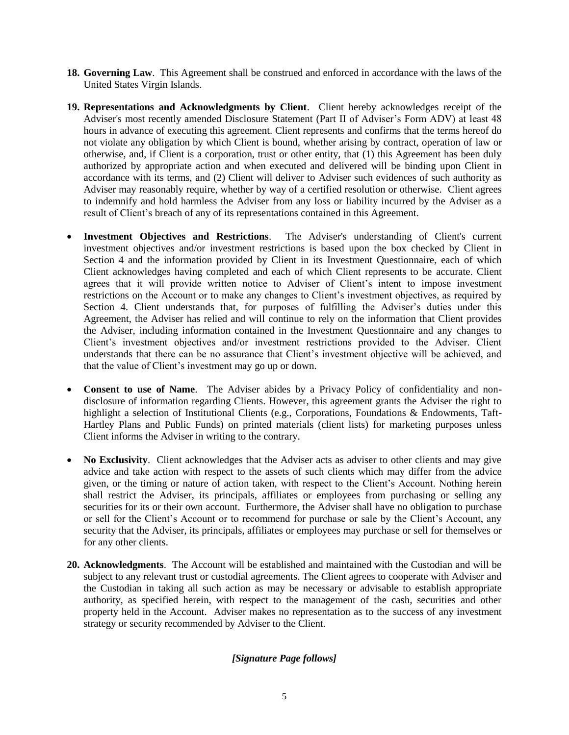- **18. Governing Law**. This Agreement shall be construed and enforced in accordance with the laws of the United States Virgin Islands.
- **19. Representations and Acknowledgments by Client**. Client hereby acknowledges receipt of the Adviser's most recently amended Disclosure Statement (Part II of Adviser's Form ADV) at least 48 hours in advance of executing this agreement. Client represents and confirms that the terms hereof do not violate any obligation by which Client is bound, whether arising by contract, operation of law or otherwise, and, if Client is a corporation, trust or other entity, that (1) this Agreement has been duly authorized by appropriate action and when executed and delivered will be binding upon Client in accordance with its terms, and (2) Client will deliver to Adviser such evidences of such authority as Adviser may reasonably require, whether by way of a certified resolution or otherwise. Client agrees to indemnify and hold harmless the Adviser from any loss or liability incurred by the Adviser as a result of Client's breach of any of its representations contained in this Agreement.
- **Investment Objectives and Restrictions**. The Adviser's understanding of Client's current investment objectives and/or investment restrictions is based upon the box checked by Client in Section 4 and the information provided by Client in its Investment Questionnaire, each of which Client acknowledges having completed and each of which Client represents to be accurate. Client agrees that it will provide written notice to Adviser of Client's intent to impose investment restrictions on the Account or to make any changes to Client's investment objectives, as required by Section 4. Client understands that, for purposes of fulfilling the Adviser's duties under this Agreement, the Adviser has relied and will continue to rely on the information that Client provides the Adviser, including information contained in the Investment Questionnaire and any changes to Client's investment objectives and/or investment restrictions provided to the Adviser. Client understands that there can be no assurance that Client's investment objective will be achieved, and that the value of Client's investment may go up or down.
- **Consent to use of Name**. The Adviser abides by a Privacy Policy of confidentiality and nondisclosure of information regarding Clients. However, this agreement grants the Adviser the right to highlight a selection of Institutional Clients (e.g., Corporations, Foundations & Endowments, Taft-Hartley Plans and Public Funds) on printed materials (client lists) for marketing purposes unless Client informs the Adviser in writing to the contrary.
- No Exclusivity. Client acknowledges that the Adviser acts as adviser to other clients and may give advice and take action with respect to the assets of such clients which may differ from the advice given, or the timing or nature of action taken, with respect to the Client's Account. Nothing herein shall restrict the Adviser, its principals, affiliates or employees from purchasing or selling any securities for its or their own account. Furthermore, the Adviser shall have no obligation to purchase or sell for the Client's Account or to recommend for purchase or sale by the Client's Account, any security that the Adviser, its principals, affiliates or employees may purchase or sell for themselves or for any other clients.
- **20. Acknowledgments**. The Account will be established and maintained with the Custodian and will be subject to any relevant trust or custodial agreements. The Client agrees to cooperate with Adviser and the Custodian in taking all such action as may be necessary or advisable to establish appropriate authority, as specified herein, with respect to the management of the cash, securities and other property held in the Account. Adviser makes no representation as to the success of any investment strategy or security recommended by Adviser to the Client.

## *[Signature Page follows]*